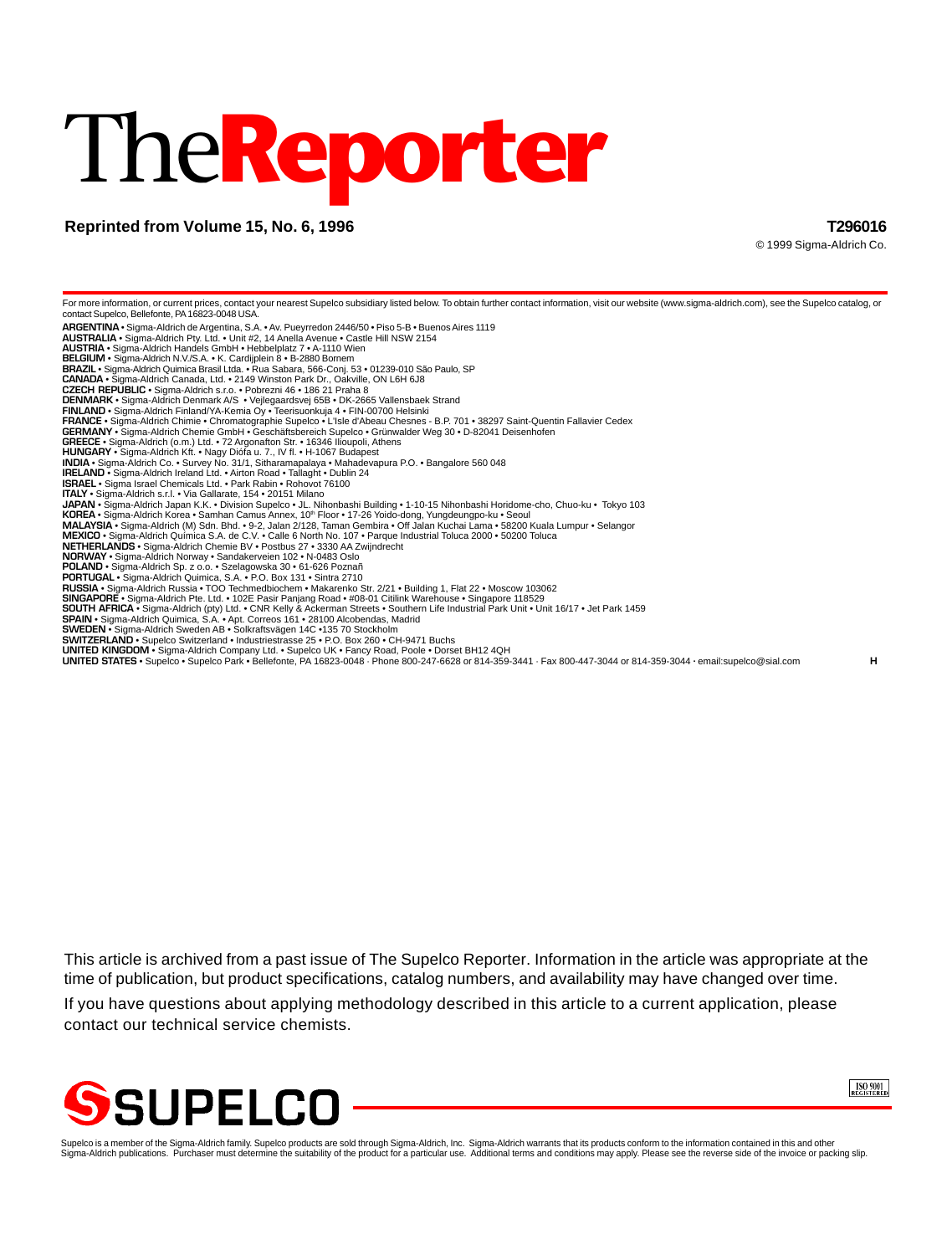# The**Reporter**

# **Reprinted from Volume 15, No. 6, 1996 T296016**

© 1999 Sigma-Aldrich Co.

For more information, or current prices, contact your nearest Supelco subsidiary listed below. To obtain further contact information, visit our website (www.sigma-aldrich.com), see the Supelco catalog, or contact Supelco, Bellefonte, PA 16823-0048 USA. **ARGENTINA** • Sigma-Aldrich de Argentina, S.A. • Av. Pueyrredon 2446/50 • Piso 5-B • Buenos Aires 1119 **AUSTRALIA** • Sigma-Aldrich Pty. Ltd. • Unit #2, 14 Anella Avenue • Castle Hill NSW 2154 **AUSTRIA** • Sigma-Aldrich Handels GmbH • Hebbelplatz 7 • A-1110 Wien **BELGIUM** • Sigma-Aldrich N.V./S.A. • K. Cardijplein 8 • B-2880 Bornem **BRAZIL** • Sigma-Aldrich Quimica Brasil Ltda. • Rua Sabara, 566-Conj. 53 • 01239-010 São Paulo, SP **CANADA** • Sigma-Aldrich Canada, Ltd. • 2149 Winston Park Dr., Oakville, ON L6H 6J8 **CZECH REPUBLIC** • Sigma-Aldrich s.r.o. • Pobrezni 46 • 186 21 Praha 8 **DENMARK** • Sigma-Aldrich Denmark A/S • Vejlegaardsvej 65B • DK-2665 Vallensbaek Strand **FINLAND •** Sigma-Aldrich Finland/YA-Kemia Oy • Teerisuonkuja 4 • FIN-00700 Helsinki<br>**FRANCE •** Sigma-Aldrich Chimie • Chromatographie Supelco • L'Isle d'Abeau Chesnes - B.P. 701 • 38297 Saint-Quentin Fallavier Cedex<br>**GER GREECE** • Sigma-Aldrich (o.m.) Ltd. • 72 Argonafton Str. • 16346 Ilioupoli, Athens **HUNGARY** • Sigma-Aldrich Kft. • Nagy Diófa u. 7., IV fl. • H-1067 Budapest **INDIA •** Sigma-Aldrich Co. • Survey No. 31/1, Sitharamapalaya • Mahadevapura P.O. • Bangalore 560 048<br>I**RELAND •** Sigma-Aldrich Ireland Ltd. • Airton Road • Tallaght • Dublin 24<br>**ISRAEL •** Sigma Israel Chemicals Ltd. • P **ITALY** • Sigma-Aldrich s.r.l. • Via Gallarate, 154 • 20151 Milano **JAPAN •** Sigma-Aldrich Japan K.K. • Division Supelco • JL. Nihonbashi Building • 1-10-15 Nihonbashi Horidome-cho, Chuo-ku • Tokyo 103<br>**KOREA •** Sigma-Aldrich Korea • Samhan Camus Annex, 10™ Floor • 17-26 Yoido-dong, Yung **MALAYSIA •** Sigma-Aldrich (M) Sdn. Bhd. • 9-2, Jalan 2/128, Taman Gembira • Off Jalan Kuchai Lama • 58200 Kuala Lumpur • Selangor<br>**MEXICO •** Sigma-Aldrich Química S.A. de C.V. • Calle 6 North No. 107 • Parque Industrial **POLAND** • Sigma-Aldrich Sp. z o.o. • Szelagowska 30 • 61-626 Poznañ **PORTUGAL** • Sigma-Aldrich Quimica, S.A. • P.O. Box 131 • Sintra 2710 **RUSSIA •** Sigma-Aldrich Russia • TOO Techmedbiochem • Makarenko Str. 2/21 • Building 1, Flat 22 • Moscow 103062<br>S**INGAPORE •** Sigma-Aldrich Pte. Ltd. • 102E Pasir Panjang Road • #08-01 Citilink Warehouse • Singapore 1185 **SWEDEN •** Sigma-Aldrich Sweden AB • Solkraftsvägen 14C •135 70 Stockholm<br>**SWITZERLAND •** Supelco Switzerland • Industriestrasse 25 • P.O. Box 260 • CH-9471 Buchs **UNITED KINGDOM •** Sigma-Aldrich Company Ltd. • Supelco UK • Fancy Road, Poole • Dorset BH12 4QH<br>**UNITED STATES •** Supelco • Supelco Park • Bellefonte, PA 16823-0048 · Phone 800-247-6628 or 814-359-3441 · Fax 800-447-3044

This article is archived from a past issue of The Supelco Reporter. Information in the article was appropriate at the time of publication, but product specifications, catalog numbers, and availability may have changed over time.

If you have questions about applying methodology described in this article to a current application, please contact our technical service chemists.





Supelco is a member of the Sigma-Aldrich family. Supelco products are sold through Sigma-Aldrich, Inc. Sigma-Aldrich warrants that its products conform to the information contained in this and other<br>Sigma-Aldrich publicati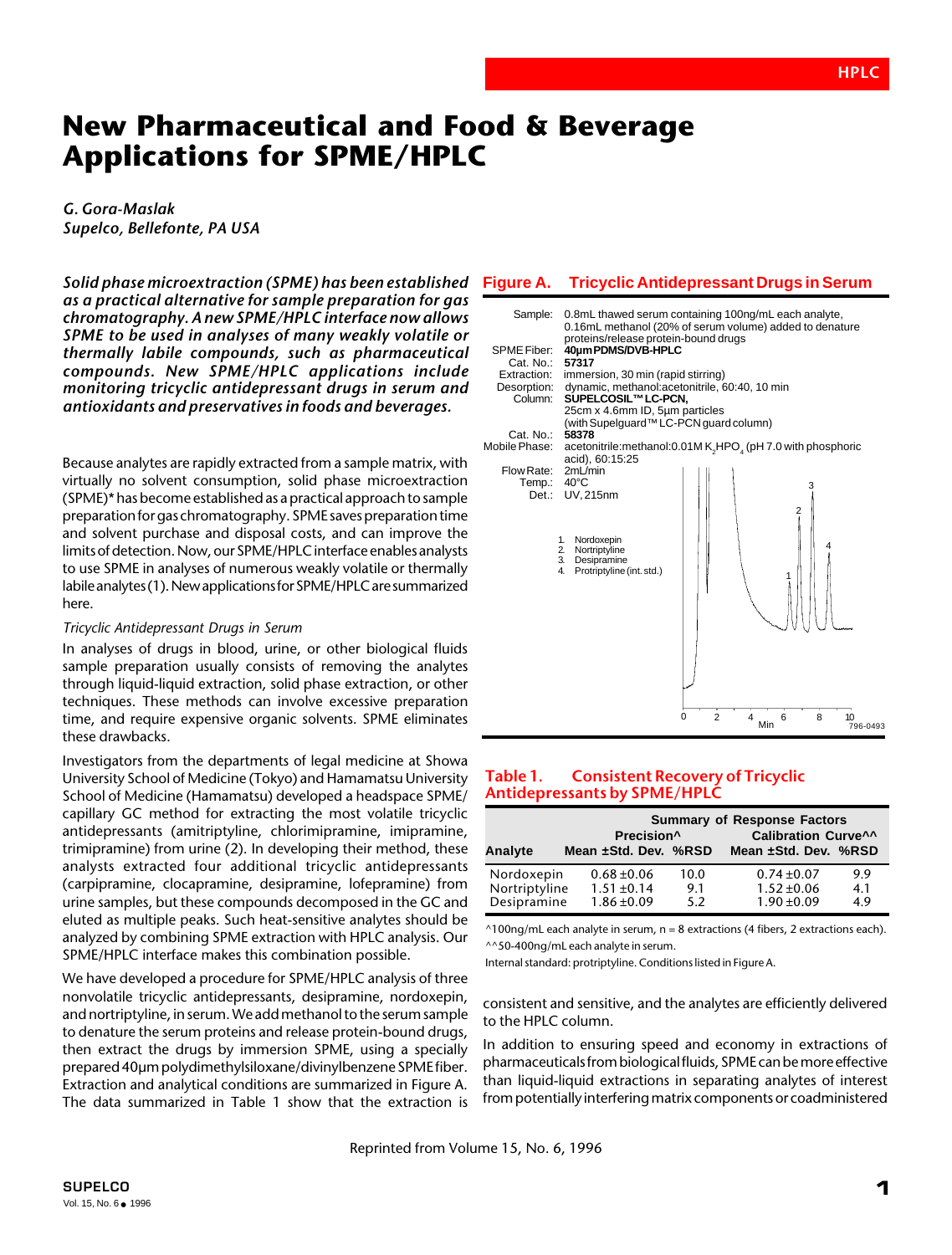# **New Pharmaceutical and Food & Beverage Applications for SPME/HPLC**

## *G. Gora-Maslak Supelco, Bellefonte, PA USA*

*Solid phase microextraction (SPME) has been established as a practical alternative for sample preparation for gas chromatography. A new SPME/HPLC interface now allows SPME to be used in analyses of many weakly volatile or thermally labile compounds, such as pharmaceutical compounds. New SPME/HPLC applications include monitoring tricyclic antidepressant drugs in serum and antioxidants and preservatives in foods and beverages.*

Because analytes are rapidly extracted from a sample matrix, with virtually no solvent consumption, solid phase microextraction (SPME)\* has become established as a practical approach to sample preparation for gas chromatography. SPME saves preparation time and solvent purchase and disposal costs, and can improve the limits of detection. Now, our SPME/HPLC interface enables analysts to use SPME in analyses of numerous weakly volatile or thermally labile analytes (1). New applications for SPME/HPLC are summarized here.

#### *Tricyclic Antidepressant Drugs in Serum*

In analyses of drugs in blood, urine, or other biological fluids sample preparation usually consists of removing the analytes through liquid-liquid extraction, solid phase extraction, or other techniques. These methods can involve excessive preparation time, and require expensive organic solvents. SPME eliminates these drawbacks.

Investigators from the departments of legal medicine at Showa University School of Medicine (Tokyo) and Hamamatsu University School of Medicine (Hamamatsu) developed a headspace SPME/ capillary GC method for extracting the most volatile tricyclic antidepressants (amitriptyline, chlorimipramine, imipramine, trimipramine) from urine (2). In developing their method, these analysts extracted four additional tricyclic antidepressants (carpipramine, clocapramine, desipramine, lofepramine) from urine samples, but these compounds decomposed in the GC and eluted as multiple peaks. Such heat-sensitive analytes should be analyzed by combining SPME extraction with HPLC analysis. Our SPME/HPLC interface makes this combination possible.

We have developed a procedure for SPME/HPLC analysis of three nonvolatile tricyclic antidepressants, desipramine, nordoxepin, and nortriptyline, in serum. We add methanol to the serum sample to denature the serum proteins and release protein-bound drugs, then extract the drugs by immersion SPME, using a specially prepared 40µm polydimethylsiloxane/divinylbenzene SPME fiber. Extraction and analytical conditions are summarized in Figure A. The data summarized in Table 1 show that the extraction is

#### **Figure A. Tricyclic Antidepressant Drugs in Serum**



#### **Table 1. Consistent Recovery of Tricyclic Antidepressants by SPME/HPLC**

|               |                      | Precision <sup>^</sup> |      | <b>Summary of Response Factors</b><br><b>Calibration Curve^^</b> |     |
|---------------|----------------------|------------------------|------|------------------------------------------------------------------|-----|
| Analyte       | Mean ±Std. Dev. %RSD |                        |      | Mean ±Std. Dev. %RSD                                             |     |
| Nordoxepin    | $0.68 + 0.06$        |                        | 10.0 | $0.74 \pm 0.07$                                                  | 9.9 |
| Nortriptyline | $1.51 \pm 0.14$      |                        | 9.1  | $1.52 \pm 0.06$                                                  | 4.1 |
| Desipramine   | $1.86 \pm 0.09$      |                        | 5.2  | $1.90 \pm 0.09$                                                  | 4.9 |

 $\triangle$ 100ng/mL each analyte in serum, n = 8 extractions (4 fibers, 2 extractions each). ^^50-400ng/mL each analyte in serum.

Internal standard: protriptyline. Conditions listed in Figure A.

consistent and sensitive, and the analytes are efficiently delivered to the HPLC column.

In addition to ensuring speed and economy in extractions of pharmaceuticals from biological fluids, SPME can be more effective than liquid-liquid extractions in separating analytes of interest from potentially interfering matrix components or coadministered